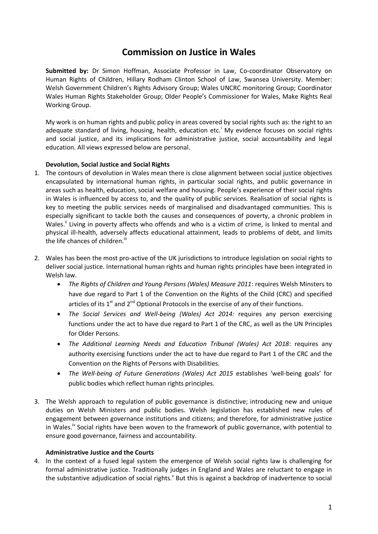# **Commission on Justice in Wales**

**Submitted by:** Dr Simon Hoffman, Associate Professor in Law, Co-coordinator Observatory on Human Rights of Children, Hillary Rodham Clinton School of Law, Swansea University. Member: Welsh Government Children's Rights Advisory Group; Wales UNCRC monitoring Group; Coordinator Wales Human Rights Stakeholder Group; Older People's Commissioner for Wales, Make Rights Real Working Group.

My work is on human rights and public policy in areas covered by social rights such as: the right to an adequate standard of living, housing, health, education etc.<sup>1</sup> My evidence focuses on social rights and social justice, and its implications for administrative justice, social accountability and legal education. All views expressed below are personal.

# **Devolution, Social Justice and Social Rights**

- 1. The contours of devolution in Wales mean there is close alignment between social justice objectives encapsulated by international human rights, in particular social rights, and public governance in areas such as health, education, social welfare and housing. People's experience of their social rights in Wales is influenced by access to, and the quality of public services. Realisation of social rights is key to meeting the public services needs of marginalised and disadvantaged communities. This is especially significant to tackle both the causes and consequences of poverty, a chronic problem in Wales.<sup>"</sup> Living in poverty affects who offends and who is a victim of crime, is linked to mental and physical ill-health, adversely affects educational attainment, leads to problems of debt, and limits the life chances of children.<sup>iii</sup>
- 2. Wales has been the most pro-active of the UK jurisdictions to introduce legislation on social rights to deliver social justice. International human rights and human rights principles have been integrated in Welsh law.
	- *The Rights of Children and Young Persons (Wales) Measure 2011*: requires Welsh Minsters to have due regard to Part 1 of the Convention on the Rights of the Child (CRC) and specified articles of its  $1<sup>st</sup>$  and  $2<sup>nd</sup>$  Optional Protocols in the exercise of any of their functions.
	- *The Social Services and Well-being (Wales) Act 2014:* requires any person exercising functions under the act to have due regard to Part 1 of the CRC, as well as the UN Principles for Older Persons.
	- *The Additional Learning Needs and Education Tribunal (Wales) Act 2018*: requires any authority exercising functions under the act to have due regard to Part 1 of the CRC and the Convention on the Rights of Persons with Disabilities.
	- *The Well-being of Future Generations (Wales) Act 2015* establishes 'well-being goals' for public bodies which reflect human rights principles.
- 3. The Welsh approach to regulation of public governance is distinctive; introducing new and unique duties on Welsh Ministers and public bodies. Welsh legislation has established new rules of engagement between governance institutions and citizens; and therefore, for administrative justice in Wales.<sup>iv</sup> Social rights have been woven to the framework of public governance, with potential to ensure good governance, fairness and accountability.

# **Administrative Justice and the Courts**

4. In the context of a fused legal system the emergence of Welsh social rights law is challenging for formal administrative justice. Traditionally judges in England and Wales are reluctant to engage in the substantive adjudication of social rights.<sup>v</sup> But this is against a backdrop of inadvertence to social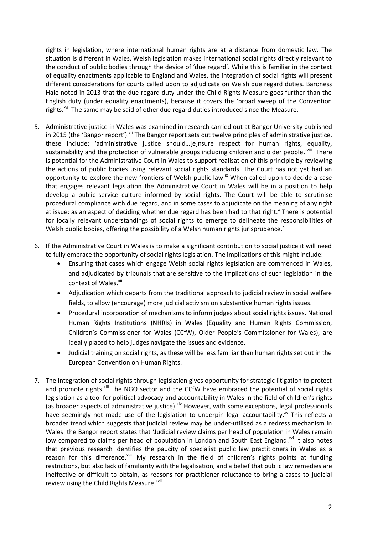rights in legislation, where international human rights are at a distance from domestic law. The situation is different in Wales. Welsh legislation makes international social rights directly relevant to the conduct of public bodies through the device of 'due regard'. While this is familiar in the context of equality enactments applicable to England and Wales, the integration of social rights will present different considerations for courts called upon to adjudicate on Welsh due regard duties. Baroness Hale noted in 2013 that the due regard duty under the Child Rights Measure goes further than the English duty (under equality enactments), because it covers the 'broad sweep of the Convention rights.'<sup>vi</sup> The same may be said of other due regard duties introduced since the Measure.

- 5. Administrative justice in Wales was examined in research carried out at Bangor University published in 2015 (the 'Bangor report'). Vill The Bangor report sets out twelve principles of administrative justice, these include: 'administrative justice should…[e]nsure respect for human rights, equality, sustainability and the protection of vulnerable groups including children and older people.'<sup>viii</sup> There is potential for the Administrative Court in Wales to support realisation of this principle by reviewing the actions of public bodies using relevant social rights standards. The Court has not yet had an opportunity to explore the new frontiers of Welsh public law.<sup>ix</sup> When called upon to decide a case that engages relevant legislation the Administrative Court in Wales will be in a position to help develop a public service culture informed by social rights. The Court will be able to scrutinise procedural compliance with due regard, and in some cases to adjudicate on the meaning of any right at issue: as an aspect of deciding whether due regard has been had to that right.<sup>x</sup> There is potential for locally relevant understandings of social rights to emerge to delineate the responsibilities of Welsh public bodies, offering the possibility of a Welsh human rights jurisprudence.<sup>xi</sup>
- 6. If the Administrative Court in Wales is to make a significant contribution to social justice it will need to fully embrace the opportunity of social rights legislation. The implications of this might include:
	- Ensuring that cases which engage Welsh social rights legislation are commenced in Wales, and adjudicated by tribunals that are sensitive to the implications of such legislation in the context of Wales.<sup>xii</sup>
	- Adjudication which departs from the traditional approach to judicial review in social welfare fields, to allow (encourage) more judicial activism on substantive human rights issues.
	- Procedural incorporation of mechanisms to inform judges about social rights issues. National Human Rights Institutions (NHRIs) in Wales (Equality and Human Rights Commission, Children's Commissioner for Wales (CCfW), Older People's Commissioner for Wales), are ideally placed to help judges navigate the issues and evidence.
	- Judicial training on social rights, as these will be less familiar than human rights set out in the European Convention on Human Rights.
- 7. The integration of social rights through legislation gives opportunity for strategic litigation to protect and promote rights.<sup>xiii</sup> The NGO sector and the CCfW have embraced the potential of social rights legislation as a tool for political advocacy and accountability in Wales in the field of children's rights (as broader aspects of administrative justice). Xiv However, with some exceptions, legal professionals have seemingly not made use of the legislation to underpin legal accountability.<sup>xv</sup> This reflects a broader trend which suggests that judicial review may be under-utilised as a redress mechanism in Wales: the Bangor report states that 'Judicial review claims per head of population in Wales remain low compared to claims per head of population in London and South East England.<sup>xvi</sup> It also notes that previous research identifies the paucity of specialist public law practitioners in Wales as a reason for this difference.<sup>xvii</sup> My research in the field of children's rights points at funding restrictions, but also lack of familiarity with the legalisation, and a belief that public law remedies are ineffective or difficult to obtain, as reasons for practitioner reluctance to bring a cases to judicial review using the Child Rights Measure.<sup>xviii</sup>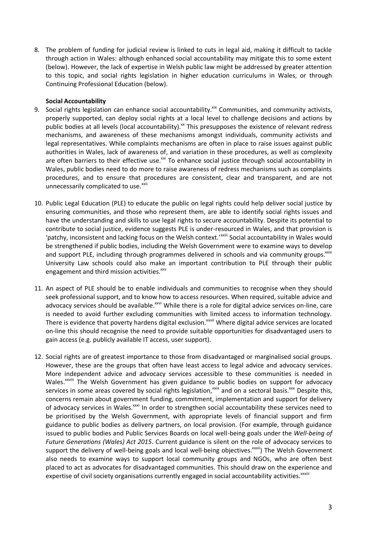8. The problem of funding for judicial review is linked to cuts in legal aid, making it difficult to tackle through action in Wales: although enhanced social accountability may mitigate this to some extent (below). However, the lack of expertise in Welsh public law might be addressed by greater attention to this topic, and social rights legislation in higher education curriculums in Wales, or through Continuing Professional Education (below).

### **Social Accountability**

- 9. Social rights legislation can enhance social accountability.<sup>xix</sup> Communities, and community activists, properly supported, can deploy social rights at a local level to challenge decisions and actions by public bodies at all levels (local accountability).<sup>xx</sup> This presupposes the existence of relevant redress mechanisms, and awareness of these mechanisms amongst individuals, community activists and legal representatives. While complaints mechanisms are often in place to raise issues against public authorities in Wales, lack of awareness of, and variation in these procedures, as well as complexity are often barriers to their effective use.<sup>xxi</sup> To enhance social justice through social accountability in Wales, public bodies need to do more to raise awareness of redress mechanisms such as complaints procedures, and to ensure that procedures are consistent, clear and transparent, and are not unnecessarily complicated to use.<sup>xxii</sup>
- 10. Public Legal Education (PLE) to educate the public on legal rights could help deliver social justice by ensuring communities, and those who represent them, are able to identify social rights issues and have the understanding and skills to use legal rights to secure accountability. Despite its potential to contribute to social justice, evidence suggests PLE is under-resourced in Wales, and that provision is 'patchy, inconsistent and lacking focus on the Welsh context.'<sup>xxiii</sup> Social accountability in Wales would be strengthened if public bodies, including the Welsh Government were to examine ways to develop and support PLE, including through programmes delivered in schools and via community groups.<sup>xxiv</sup> University Law schools could also make an important contribution to PLE through their public engagement and third mission activities.<sup>xxv</sup>
- 11. An aspect of PLE should be to enable individuals and communities to recognise when they should seek professional support, and to know how to access resources. When required, suitable advice and advocacy services should be available.<sup>xxvi</sup> While there is a role for digital advice services on-line, care is needed to avoid further excluding communities with limited access to information technology. There is evidence that poverty hardens digital exclusion.<sup>xxvii</sup> Where digital advice services are located on-line this should recognise the need to provide suitable opportunities for disadvantaged users to gain access (e.g. publicly available IT access, user support).
- 12. Social rights are of greatest importance to those from disadvantaged or marginalised social groups. However, these are the groups that often have least access to legal advice and advocacy services. More independent advice and advocacy services accessible to these communities is needed in Wales.<sup>xxviii</sup> The Welsh Government has given guidance to public bodies on support for advocacy services in some areas covered by social rights legislation,<sup>xxix</sup> and on a sectoral basis.<sup>xxx</sup> Despite this, concerns remain about government funding, commitment, implementation and support for delivery of advocacy services in Wales.<sup>xxxi</sup> In order to strengthen social accountability these services need to be prioritised by the Welsh Government, with appropriate levels of financial support and firm guidance to public bodies as delivery partners, on local provision. (For example, through guidance issued to public bodies and Public Services Boards on local well-being goals under the *Well-being of Future Generations (Wales) Act 2015*. Current guidance is silent on the role of advocacy services to support the delivery of well-being goals and local well-being objectives.<sup>xxxii</sup>) The Welsh Government also needs to examine ways to support local community groups and NGOs, who are often best placed to act as advocates for disadvantaged communities. This should draw on the experience and expertise of civil society organisations currently engaged in social accountability activities.<sup>xxxiii</sup>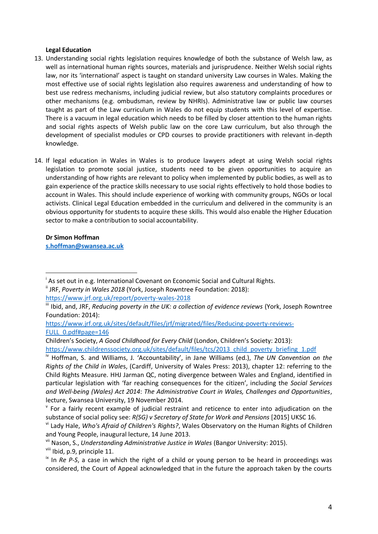### **Legal Education**

- 13. Understanding social rights legislation requires knowledge of both the substance of Welsh law, as well as international human rights sources, materials and jurisprudence. Neither Welsh social rights law, nor its 'international' aspect is taught on standard university Law courses in Wales. Making the most effective use of social rights legislation also requires awareness and understanding of how to best use redress mechanisms, including judicial review, but also statutory complaints procedures or other mechanisms (e.g. ombudsman, review by NHRIs). Administrative law or public law courses taught as part of the Law curriculum in Wales do not equip students with this level of expertise. There is a vacuum in legal education which needs to be filled by closer attention to the human rights and social rights aspects of Welsh public law on the core Law curriculum, but also through the development of specialist modules or CPD courses to provide practitioners with relevant in-depth knowledge.
- 14. If legal education in Wales in Wales is to produce lawyers adept at using Welsh social rights legislation to promote social justice, students need to be given opportunities to acquire an understanding of how rights are relevant to policy when implemented by public bodies, as well as to gain experience of the practice skills necessary to use social rights effectively to hold those bodies to account in Wales. This should include experience of working with community groups, NGOs or local activists. Clinical Legal Education embedded in the curriculum and delivered in the community is an obvious opportunity for students to acquire these skills. This would also enable the Higher Education sector to make a contribution to social accountability.

**Dr Simon Hoffman [s.hoffman@swansea.ac.uk](mailto:s.hoffman@swansea.ac.uk)**

 $\overline{a}$ 

viii Ibid, p.9, principle 11.

As set out in e.g. International Covenant on Economic Social and Cultural Rights.

<sup>&</sup>lt;sup>ii</sup> JRF, Poverty in Wales 2018 (York, Joseph Rowntree Foundation: 2018): <https://www.jrf.org.uk/report/poverty-wales-2018>

iii Ibid, and, JRF, *Reducing poverty in the UK: a collection of evidence reviews* (York, Joseph Rowntree Foundation: 2014):

[https://www.jrf.org.uk/sites/default/files/jrf/migrated/files/Reducing-poverty-reviews-](https://www.jrf.org.uk/sites/default/files/jrf/migrated/files/Reducing-poverty-reviews-FULL_0.pdf#page=146)[FULL\\_0.pdf#page=146](https://www.jrf.org.uk/sites/default/files/jrf/migrated/files/Reducing-poverty-reviews-FULL_0.pdf#page=146)

Children's Society, *A Good Childhood for Every Child* (London, Children's Society: 2013):

[https://www.childrenssociety.org.uk/sites/default/files/tcs/2013\\_child\\_poverty\\_briefing\\_1.pdf](https://www.childrenssociety.org.uk/sites/default/files/tcs/2013_child_poverty_briefing_1.pdf)

iv Hoffman, S. and Williams, J. 'Accountability', in Jane Williams (ed.), *The UN Convention on the Rights of the Child in Wale*s, (Cardiff, University of Wales Press: 2013), chapter 12: referring to the Child Rights Measure. HHJ Jarman QC, noting divergence between Wales and England, identified in particular legislation with 'far reaching consequences for the citizen', including the *Social Services and Well-being (Wales) Act 2014*: *The Administrative Court in Wales, Challenges and Opportunities*, lecture, Swansea University, 19 November 2014.

 $\mathbf v$  For a fairly recent example of judicial restraint and reticence to enter into adjudication on the substance of social policy see: *R(SG) v Secretary of State for Work and Pensions* [2015] UKSC 16.

vi Lady Hale, *Who's Afraid of Children's Rights?*, Wales Observatory on the Human Rights of Children and Young People, inaugural lecture, 14 June 2013.

vii Nason, S., *Understanding Administrative Justice in Wales* (Bangor University: 2015).

<sup>&</sup>lt;sup>ix</sup> In *Re P-S*, a case in which the right of a child or young person to be heard in proceedings was considered, the Court of Appeal acknowledged that in the future the approach taken by the courts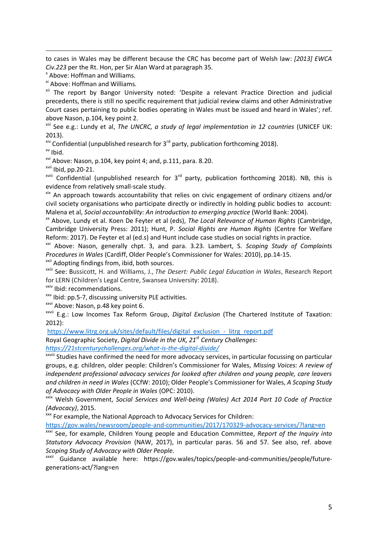to cases in Wales may be different because the CRC has become part of Welsh law: *[2013] EWCA Civ.223* per the Rt. Hon, per Sir Alan Ward at paragraph 35.

x Above: Hoffman and Williams.

xi Above: Hoffman and Williams.

<sup>xii</sup> The report by Bangor University noted: 'Despite a relevant Practice Direction and judicial precedents, there is still no specific requirement that judicial review claims and other Administrative Court cases pertaining to public bodies operating in Wales must be issued and heard in Wales'; ref. above Nason, p.104, key point 2.

xiii See e.g.: Lundy et al, *The UNCRC, a study of legal implementation in 12 countries* (UNICEF UK: 2013).

 $x^{iv}$  Confidential (unpublished research for 3<sup>rd</sup> party, publication forthcoming 2018).

 $xv$  Ibid.

 $\overline{a}$ 

 $x^{0}$  Above: Nason, p.104, key point 4; and, p.111, para. 8.20.

xvii Ibid, pp.20-21.

 $x$ viii Confidential (unpublished research for 3<sup>rd</sup> party, publication forthcoming 2018). NB, this is evidence from relatively small-scale study.

xix An approach towards accountability that relies on civic engagement of ordinary citizens and/or civil society organisations who participate directly or indirectly in holding public bodies to account: Malena et al, *Social accountability: An introduction to emerging practice* (World Bank: 2004).

xx Above, Lundy et al. Koen De Feyter et al (eds), *The Local Relevance of Human Rights* (Cambridge, Cambridge University Press: 2011); Hunt, P. *Social Rights are Human Rights* (Centre for Welfare Reform: 2017). De Feyter et al (ed.s) and Hunt include case studies on social rights in practice.

xxi Above: Nason, generally chpt. 3, and para. 3.23. Lambert, S. *Scoping Study of Complaints Procedures in Wales* (Cardiff, Older People's Commissioner for Wales: 2010), pp.14-15.

xxii Adopting findings from, ibid, both sources.

xxiii See: Bussicott, H. and Williams, J., *The Desert: Public Legal Education in Wales*, Research Report for LERN (Children's Legal Centre, Swansea University: 2018).

xxiv Ibid: recommendations.

xxv Ibid: pp.5-7, discussing university PLE activities.

<sup>xxvi</sup> Above: Nason, p.48 key point 6.

xxvii E.g.: Low Incomes Tax Reform Group, *Digital Exclusion* (The Chartered Institute of Taxation: 2012):

[https://www.litrg.org.uk/sites/default/files/digital\\_exclusion\\_-\\_litrg\\_report.pdf](https://www.litrg.org.uk/sites/default/files/digital_exclusion_-_litrg_report.pdf)

Royal Geographic Society, *Digital Divide in the UK, 21st Century Challenges:*

*<https://21stcenturychallenges.org/what-is-the-digital-divide/>*

XXVIII Studies have confirmed the need for more advocacy services, in particular focussing on particular groups, e.g. children, older people: Children's Commissioner for Wales, *Missing Voices: A review of independent professional advocacy services for looked after children and young people, care leavers and children in need in Wales* (CCfW: 2010); Older People's Commissioner for Wales, *A Scoping Study of Advocacy with Older People in Wales* (OPC: 2010).

xxix Welsh Government, *Social Services and Well-being (Wales) Act 2014 Part 10 Code of Practice (Advocacy)*, 2015.

xxx For example, the National Approach to Advocacy Services for Children:

<https://gov.wales/newsroom/people-and-communities/2017/170329-advocacy-services/?lang=en>

xxxi See, for example, Children Young people and Education Committee, *Report of the Inquiry into Statutory Advocacy Provision* (NAW, 2017), in particular paras. 56 and 57. See also, ref. above *Scoping Study of Advocacy with Older People.*

xxxii Guidance available here: https://gov.wales/topics/people-and-communities/people/futuregenerations-act/?lang=en